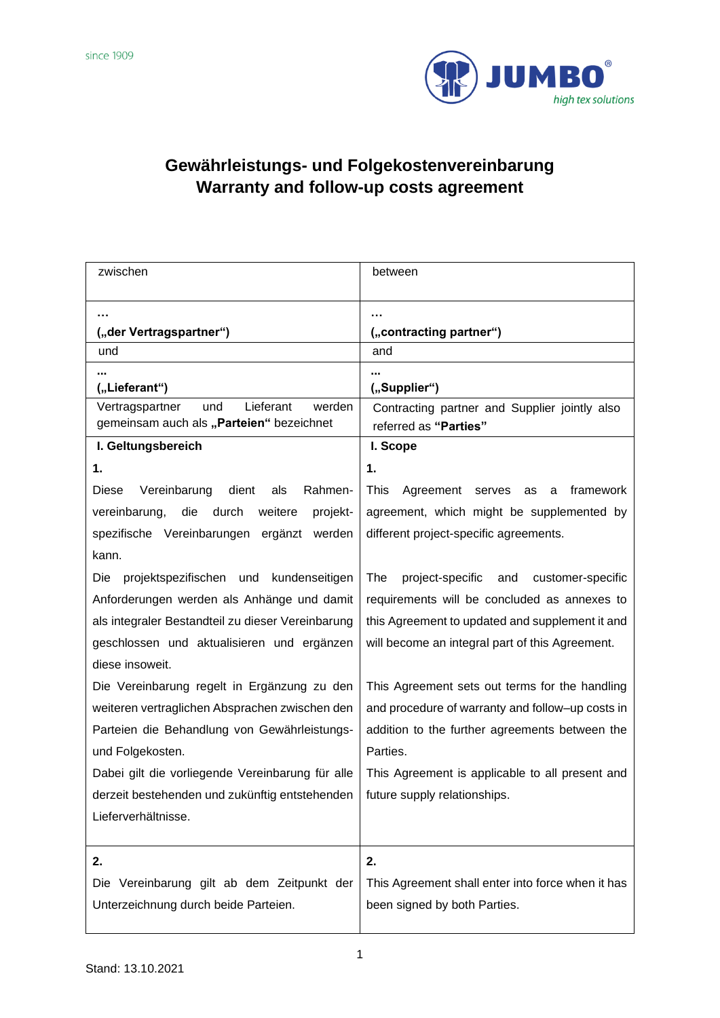

## **Gewährleistungs- und Folgekostenvereinbarung Warranty and follow-up costs agreement**

| zwischen                                                                                  | between                                                                |
|-------------------------------------------------------------------------------------------|------------------------------------------------------------------------|
|                                                                                           |                                                                        |
| ("der Vertragspartner")                                                                   | ("contracting partner")                                                |
| und                                                                                       | and                                                                    |
| ("Lieferant")                                                                             | ("Supplier")                                                           |
| Lieferant<br>Vertragspartner<br>und<br>werden<br>gemeinsam auch als "Parteien" bezeichnet | Contracting partner and Supplier jointly also<br>referred as "Parties" |
| I. Geltungsbereich                                                                        | I. Scope                                                               |
| 1.                                                                                        | 1.                                                                     |
| Diese<br>Vereinbarung<br>dient<br>Rahmen-<br>als                                          | This<br>framework<br>Agreement serves<br>as<br>a                       |
| vereinbarung,<br>die<br>durch<br>weitere<br>projekt-                                      | agreement, which might be supplemented by                              |
| spezifische Vereinbarungen ergänzt<br>werden                                              | different project-specific agreements.                                 |
| kann.                                                                                     |                                                                        |
| Die<br>projektspezifischen und kundenseitigen                                             | The<br>project-specific<br>customer-specific<br>and                    |
| Anforderungen werden als Anhänge und damit                                                | requirements will be concluded as annexes to                           |
| als integraler Bestandteil zu dieser Vereinbarung                                         | this Agreement to updated and supplement it and                        |
| geschlossen und aktualisieren und ergänzen                                                | will become an integral part of this Agreement.                        |
| diese insoweit.                                                                           |                                                                        |
| Die Vereinbarung regelt in Ergänzung zu den                                               | This Agreement sets out terms for the handling                         |
| weiteren vertraglichen Absprachen zwischen den                                            | and procedure of warranty and follow-up costs in                       |
| Parteien die Behandlung von Gewährleistungs-                                              | addition to the further agreements between the                         |
| und Folgekosten.                                                                          | Parties.                                                               |
| Dabei gilt die vorliegende Vereinbarung für alle                                          | This Agreement is applicable to all present and                        |
| derzeit bestehenden und zukünftig entstehenden                                            | future supply relationships.                                           |
| Lieferverhältnisse.                                                                       |                                                                        |
|                                                                                           |                                                                        |
| 2.                                                                                        | 2.                                                                     |
| Die Vereinbarung gilt ab dem Zeitpunkt der                                                | This Agreement shall enter into force when it has                      |
| Unterzeichnung durch beide Parteien.                                                      | been signed by both Parties.                                           |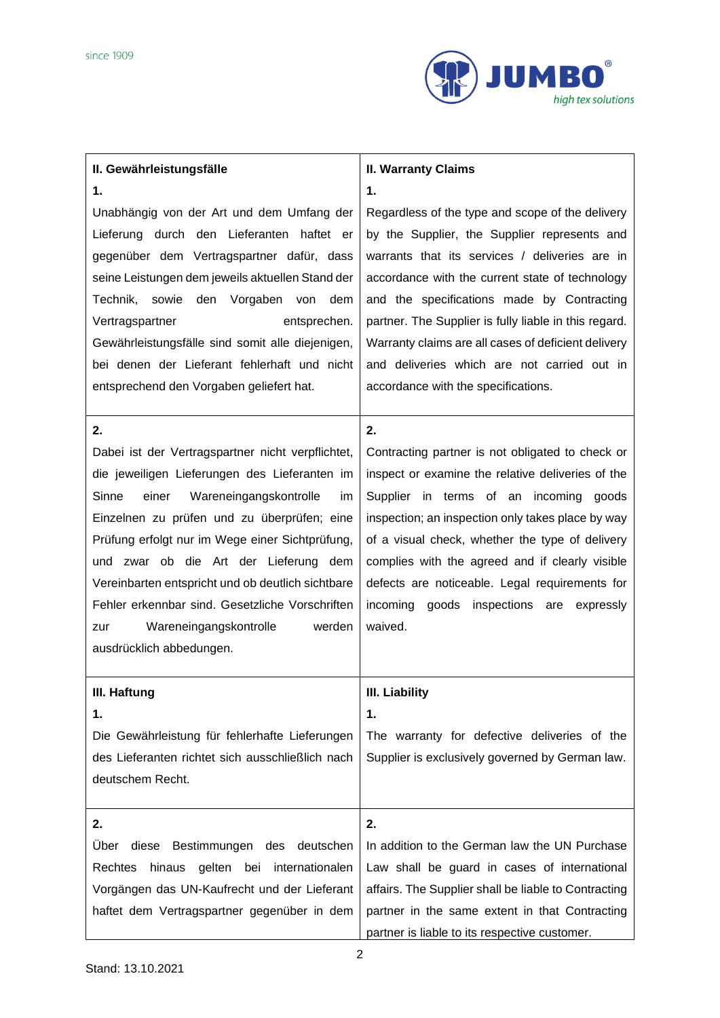

| II. Gewährleistungsfälle                                                                                                                                                                                                                                                                                                                                                                                                                                                                | <b>II. Warranty Claims</b>                                                                                                                                                                                                                                                                                                                                                                                                   |
|-----------------------------------------------------------------------------------------------------------------------------------------------------------------------------------------------------------------------------------------------------------------------------------------------------------------------------------------------------------------------------------------------------------------------------------------------------------------------------------------|------------------------------------------------------------------------------------------------------------------------------------------------------------------------------------------------------------------------------------------------------------------------------------------------------------------------------------------------------------------------------------------------------------------------------|
|                                                                                                                                                                                                                                                                                                                                                                                                                                                                                         |                                                                                                                                                                                                                                                                                                                                                                                                                              |
| 1.<br>Unabhängig von der Art und dem Umfang der<br>Lieferung durch den Lieferanten haftet er<br>gegenüber dem Vertragspartner dafür, dass<br>seine Leistungen dem jeweils aktuellen Stand der<br>Technik,<br>sowie<br>den<br>Vorgaben von<br>dem<br>Vertragspartner<br>entsprechen.<br>Gewährleistungsfälle sind somit alle diejenigen,<br>bei denen der Lieferant fehlerhaft und nicht                                                                                                 | 1.<br>Regardless of the type and scope of the delivery<br>by the Supplier, the Supplier represents and<br>warrants that its services / deliveries are in<br>accordance with the current state of technology<br>and the specifications made by Contracting<br>partner. The Supplier is fully liable in this regard.<br>Warranty claims are all cases of deficient delivery<br>and deliveries which are not carried out in     |
| entsprechend den Vorgaben geliefert hat.                                                                                                                                                                                                                                                                                                                                                                                                                                                | accordance with the specifications.                                                                                                                                                                                                                                                                                                                                                                                          |
| 2.<br>Dabei ist der Vertragspartner nicht verpflichtet,<br>die jeweiligen Lieferungen des Lieferanten im<br>einer<br>Sinne<br>Wareneingangskontrolle<br>im<br>Einzelnen zu prüfen und zu überprüfen; eine<br>Prüfung erfolgt nur im Wege einer Sichtprüfung,<br>zwar ob die Art der Lieferung dem<br>und<br>Vereinbarten entspricht und ob deutlich sichtbare<br>Fehler erkennbar sind. Gesetzliche Vorschriften<br>Wareneingangskontrolle<br>werden<br>zur<br>ausdrücklich abbedungen. | 2.<br>Contracting partner is not obligated to check or<br>inspect or examine the relative deliveries of the<br>Supplier in terms of an incoming goods<br>inspection; an inspection only takes place by way<br>of a visual check, whether the type of delivery<br>complies with the agreed and if clearly visible<br>defects are noticeable. Legal requirements for<br>incoming<br>goods inspections are expressly<br>waived. |
| III. Haftung                                                                                                                                                                                                                                                                                                                                                                                                                                                                            | <b>III. Liability</b>                                                                                                                                                                                                                                                                                                                                                                                                        |
| 1.<br>Die Gewährleistung für fehlerhafte Lieferungen                                                                                                                                                                                                                                                                                                                                                                                                                                    | 1.<br>The warranty for defective deliveries of the                                                                                                                                                                                                                                                                                                                                                                           |
| des Lieferanten richtet sich ausschließlich nach<br>deutschem Recht.                                                                                                                                                                                                                                                                                                                                                                                                                    | Supplier is exclusively governed by German law.                                                                                                                                                                                                                                                                                                                                                                              |
| 2.                                                                                                                                                                                                                                                                                                                                                                                                                                                                                      | 2.                                                                                                                                                                                                                                                                                                                                                                                                                           |
| Über<br>diese<br>Bestimmungen des<br>deutschen                                                                                                                                                                                                                                                                                                                                                                                                                                          | In addition to the German law the UN Purchase                                                                                                                                                                                                                                                                                                                                                                                |
| gelten<br>Rechtes<br>hinaus<br>bei<br>internationalen                                                                                                                                                                                                                                                                                                                                                                                                                                   | Law shall be guard in cases of international                                                                                                                                                                                                                                                                                                                                                                                 |
| Vorgängen das UN-Kaufrecht und der Lieferant                                                                                                                                                                                                                                                                                                                                                                                                                                            | affairs. The Supplier shall be liable to Contracting                                                                                                                                                                                                                                                                                                                                                                         |
| haftet dem Vertragspartner gegenüber in dem                                                                                                                                                                                                                                                                                                                                                                                                                                             | partner in the same extent in that Contracting<br>partner is liable to its respective customer.                                                                                                                                                                                                                                                                                                                              |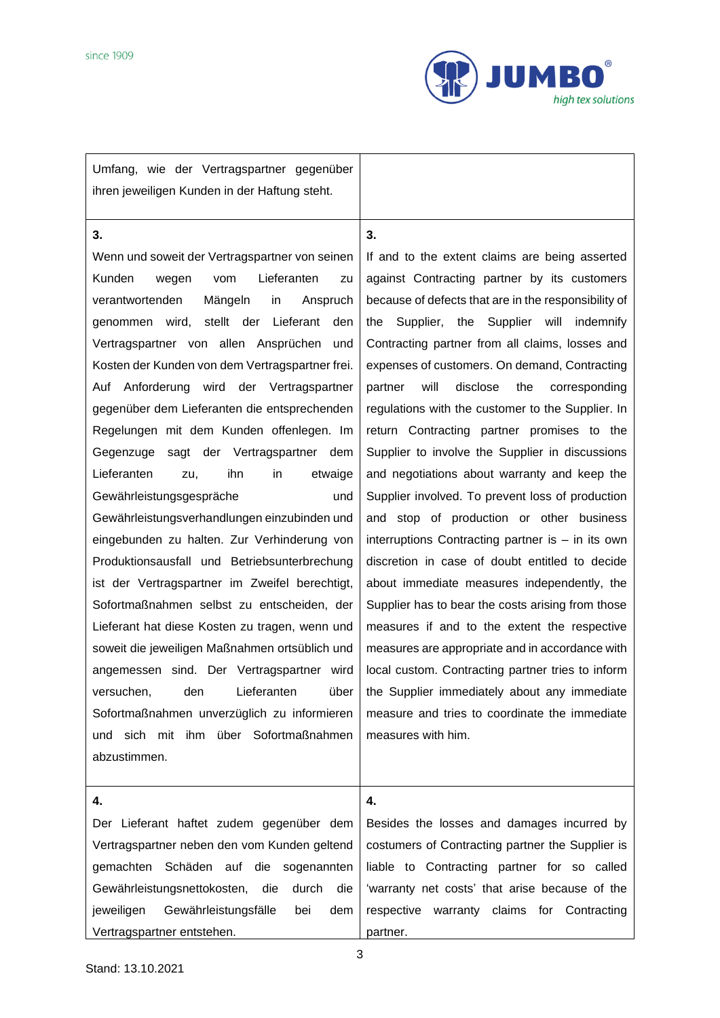

Umfang, wie der Vertragspartner gegenüber ihren jeweiligen Kunden in der Haftung steht.

## **3.**

Wenn und soweit der Vertragspartner von seinen Kunden wegen vom Lieferanten zu verantwortenden Mängeln in Anspruch genommen wird, stellt der Lieferant den Vertragspartner von allen Ansprüchen und Kosten der Kunden von dem Vertragspartner frei. Auf Anforderung wird der Vertragspartner gegenüber dem Lieferanten die entsprechenden Regelungen mit dem Kunden offenlegen. Im Gegenzuge sagt der Vertragspartner dem Lieferanten zu, ihn in etwaige Gewährleistungsgespräche und Gewährleistungsverhandlungen einzubinden und eingebunden zu halten. Zur Verhinderung von Produktionsausfall und Betriebsunterbrechung ist der Vertragspartner im Zweifel berechtigt, Sofortmaßnahmen selbst zu entscheiden, der Lieferant hat diese Kosten zu tragen, wenn und soweit die jeweiligen Maßnahmen ortsüblich und angemessen sind. Der Vertragspartner wird versuchen, den Lieferanten über Sofortmaßnahmen unverzüglich zu informieren und sich mit ihm über Sofortmaßnahmen abzustimmen.

## **3.**

If and to the extent claims are being asserted against Contracting partner by its customers because of defects that are in the responsibility of the Supplier, the Supplier will indemnify Contracting partner from all claims, losses and expenses of customers. On demand, Contracting partner will disclose the corresponding regulations with the customer to the Supplier. In return Contracting partner promises to the Supplier to involve the Supplier in discussions and negotiations about warranty and keep the Supplier involved. To prevent loss of production and stop of production or other business interruptions Contracting partner is – in its own discretion in case of doubt entitled to decide about immediate measures independently, the Supplier has to bear the costs arising from those measures if and to the extent the respective measures are appropriate and in accordance with local custom. Contracting partner tries to inform the Supplier immediately about any immediate measure and tries to coordinate the immediate measures with him.

## **4.**

Der Lieferant haftet zudem gegenüber dem Vertragspartner neben den vom Kunden geltend gemachten Schäden auf die sogenannten Gewährleistungsnettokosten, die durch die jeweiligen Gewährleistungsfälle bei dem Vertragspartner entstehen.

Besides the losses and damages incurred by costumers of Contracting partner the Supplier is liable to Contracting partner for so called 'warranty net costs' that arise because of the respective warranty claims for Contracting partner.

**4.**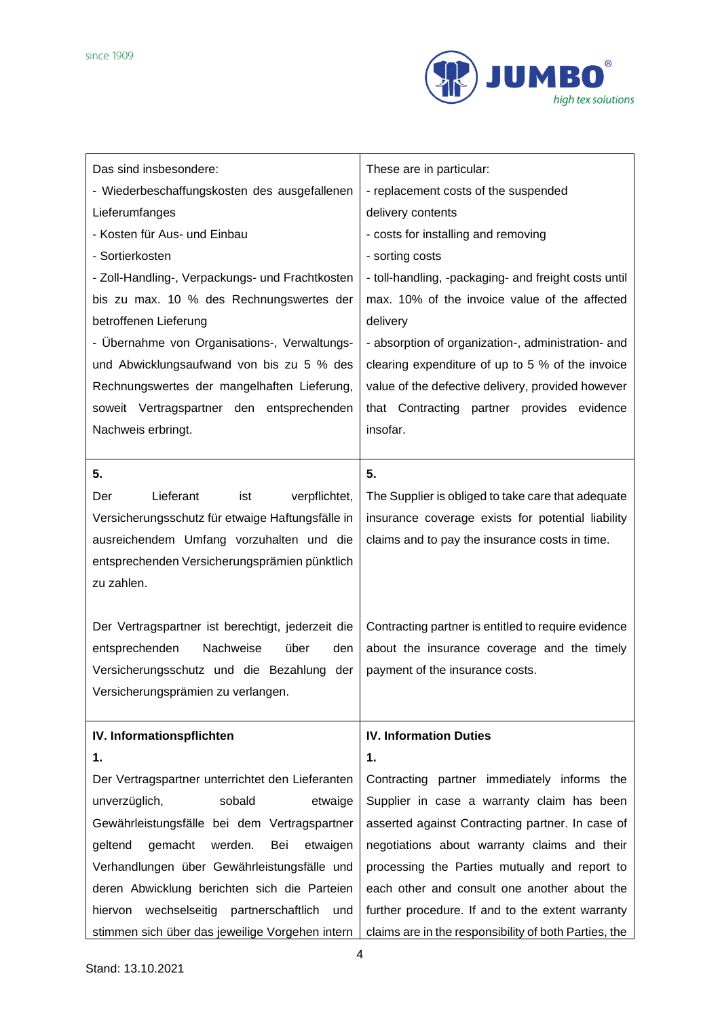

| Das sind insbesondere:                               | These are in particular:                              |
|------------------------------------------------------|-------------------------------------------------------|
| - Wiederbeschaffungskosten des ausgefallenen         | - replacement costs of the suspended                  |
| Lieferumfanges                                       | delivery contents                                     |
| - Kosten für Aus- und Einbau                         | - costs for installing and removing                   |
| - Sortierkosten                                      | - sorting costs                                       |
| - Zoll-Handling-, Verpackungs- und Frachtkosten      | - toll-handling, -packaging- and freight costs until  |
| bis zu max. 10 % des Rechnungswertes der             | max. 10% of the invoice value of the affected         |
| betroffenen Lieferung                                | delivery                                              |
| - Übernahme von Organisations-, Verwaltungs-         | - absorption of organization-, administration- and    |
| und Abwicklungsaufwand von bis zu 5 % des            | clearing expenditure of up to 5 % of the invoice      |
| Rechnungswertes der mangelhaften Lieferung,          | value of the defective delivery, provided however     |
| soweit Vertragspartner den entsprechenden            | that Contracting partner provides evidence            |
| Nachweis erbringt.                                   | insofar.                                              |
|                                                      |                                                       |
| 5.                                                   | 5.                                                    |
| Lieferant<br>verpflichtet,<br>Der<br>ist             | The Supplier is obliged to take care that adequate    |
| Versicherungsschutz für etwaige Haftungsfälle in     | insurance coverage exists for potential liability     |
| ausreichendem Umfang vorzuhalten und die             | claims and to pay the insurance costs in time.        |
| entsprechenden Versicherungsprämien pünktlich        |                                                       |
| zu zahlen.                                           |                                                       |
|                                                      |                                                       |
| Der Vertragspartner ist berechtigt, jederzeit die    | Contracting partner is entitled to require evidence   |
| entsprechenden<br>Nachweise<br>über<br>den           | about the insurance coverage and the timely           |
| Versicherungsschutz und die Bezahlung der            | payment of the insurance costs.                       |
| Versicherungsprämien zu verlangen.                   |                                                       |
|                                                      |                                                       |
| IV. Informationspflichten                            | <b>IV. Information Duties</b>                         |
| 1.                                                   | 1.                                                    |
| Der Vertragspartner unterrichtet den Lieferanten     | Contracting partner immediately informs the           |
| sobald<br>unverzüglich,<br>etwaige                   | Supplier in case a warranty claim has been            |
| Gewährleistungsfälle bei dem Vertragspartner         | asserted against Contracting partner. In case of      |
| gemacht<br>geltend<br>werden.<br>Bei<br>etwaigen     | negotiations about warranty claims and their          |
| Verhandlungen über Gewährleistungsfälle und          | processing the Parties mutually and report to         |
| deren Abwicklung berichten sich die Parteien         | each other and consult one another about the          |
| wechselseitig<br>partnerschaftlich<br>hiervon<br>und | further procedure. If and to the extent warranty      |
| stimmen sich über das jeweilige Vorgehen intern      | claims are in the responsibility of both Parties, the |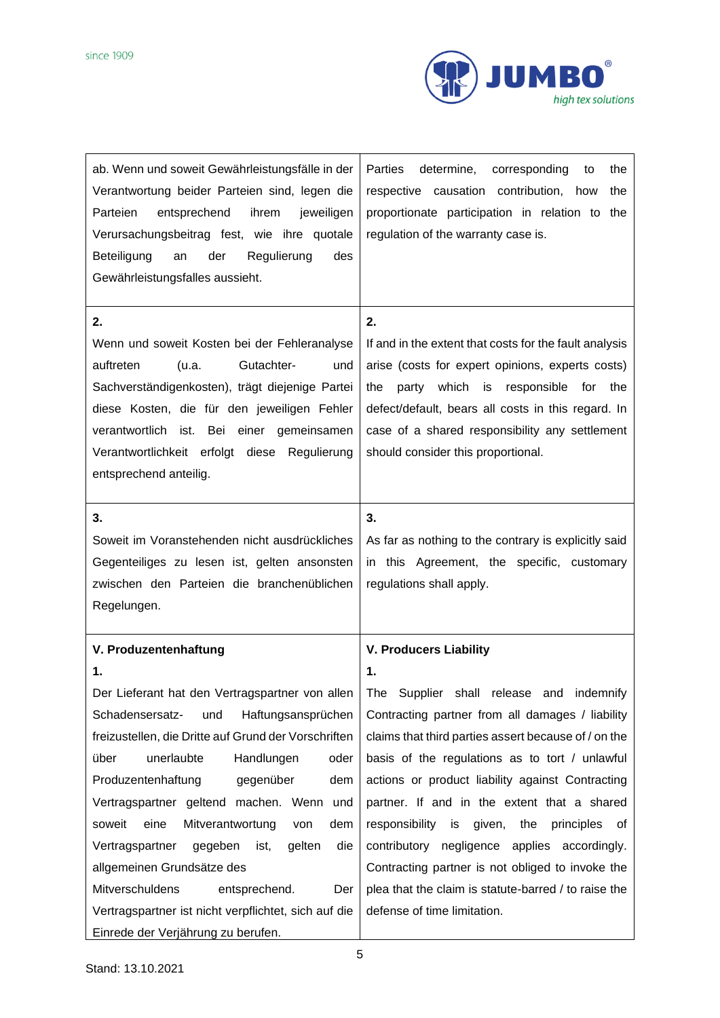

| respective causation contribution,<br>how<br>the<br>proportionate participation in relation to the<br>regulation of the warranty case is.                                                                                                                                                                                                                                                                                                                                                                                                                                                                      |
|----------------------------------------------------------------------------------------------------------------------------------------------------------------------------------------------------------------------------------------------------------------------------------------------------------------------------------------------------------------------------------------------------------------------------------------------------------------------------------------------------------------------------------------------------------------------------------------------------------------|
| 2.<br>If and in the extent that costs for the fault analysis<br>arise (costs for expert opinions, experts costs)<br>party which is responsible for the<br>the<br>defect/default, bears all costs in this regard. In<br>case of a shared responsibility any settlement<br>should consider this proportional.                                                                                                                                                                                                                                                                                                    |
| 3.<br>As far as nothing to the contrary is explicitly said<br>in this Agreement, the specific, customary<br>regulations shall apply.                                                                                                                                                                                                                                                                                                                                                                                                                                                                           |
| <b>V. Producers Liability</b><br>$\mathbf 1$<br>The Supplier shall release<br>indemnify<br>and<br>Contracting partner from all damages / liability<br>claims that third parties assert because of / on the<br>basis of the regulations as to tort / unlawful<br>actions or product liability against Contracting<br>partner. If and in the extent that a shared<br>responsibility is given, the<br>principles<br>of<br>contributory negligence applies accordingly.<br>Contracting partner is not obliged to invoke the<br>plea that the claim is statute-barred / to raise the<br>defense of time limitation. |
|                                                                                                                                                                                                                                                                                                                                                                                                                                                                                                                                                                                                                |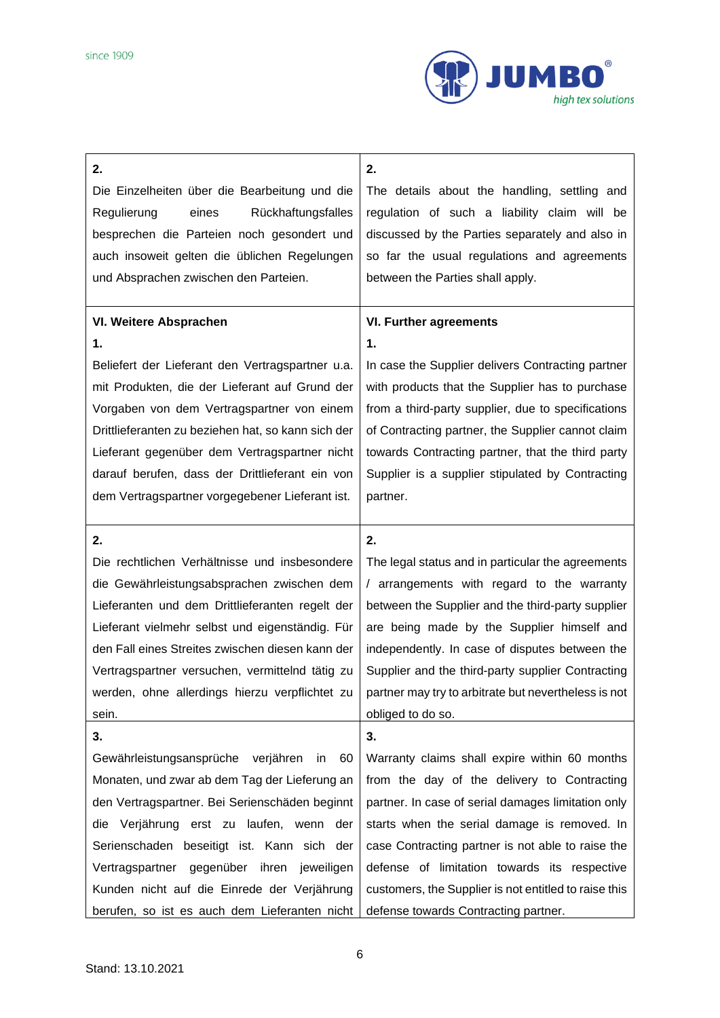

| 2.                                                 | 2.                                                    |
|----------------------------------------------------|-------------------------------------------------------|
| Die Einzelheiten über die Bearbeitung und die      | The details about the handling, settling and          |
| Regulierung<br>eines<br>Rückhaftungsfalles         | regulation of such a liability claim will be          |
| besprechen die Parteien noch gesondert und         | discussed by the Parties separately and also in       |
| auch insoweit gelten die üblichen Regelungen       | so far the usual regulations and agreements           |
| und Absprachen zwischen den Parteien.              | between the Parties shall apply.                      |
|                                                    |                                                       |
| VI. Weitere Absprachen                             | <b>VI. Further agreements</b>                         |
| 1.                                                 | 1.                                                    |
| Beliefert der Lieferant den Vertragspartner u.a.   | In case the Supplier delivers Contracting partner     |
| mit Produkten, die der Lieferant auf Grund der     | with products that the Supplier has to purchase       |
| Vorgaben von dem Vertragspartner von einem         | from a third-party supplier, due to specifications    |
| Drittlieferanten zu beziehen hat, so kann sich der | of Contracting partner, the Supplier cannot claim     |
| Lieferant gegenüber dem Vertragspartner nicht      | towards Contracting partner, that the third party     |
| darauf berufen, dass der Drittlieferant ein von    | Supplier is a supplier stipulated by Contracting      |
| dem Vertragspartner vorgegebener Lieferant ist.    | partner.                                              |
|                                                    |                                                       |
| 2.                                                 | 2.                                                    |
| Die rechtlichen Verhältnisse und insbesondere      | The legal status and in particular the agreements     |
| die Gewährleistungsabsprachen zwischen dem         | / arrangements with regard to the warranty            |
| Lieferanten und dem Drittlieferanten regelt der    | between the Supplier and the third-party supplier     |
| Lieferant vielmehr selbst und eigenständig. Für    | are being made by the Supplier himself and            |
| den Fall eines Streites zwischen diesen kann der   | independently. In case of disputes between the        |
| Vertragspartner versuchen, vermittelnd tätig zu    | Supplier and the third-party supplier Contracting     |
| werden, ohne allerdings hierzu verpflichtet zu     | partner may try to arbitrate but nevertheless is not  |
| sein.                                              | obliged to do so.                                     |
| 3.                                                 | 3.                                                    |
| Gewährleistungsansprüche<br>verjähren<br>in.<br>60 | Warranty claims shall expire within 60 months         |
| Monaten, und zwar ab dem Tag der Lieferung an      | from the day of the delivery to Contracting           |
| den Vertragspartner. Bei Serienschäden beginnt     | partner. In case of serial damages limitation only    |
| Verjährung erst zu laufen, wenn der<br>die         | starts when the serial damage is removed. In          |
| Serienschaden beseitigt ist. Kann sich der         | case Contracting partner is not able to raise the     |
| Vertragspartner gegenüber ihren<br>jeweiligen      | defense of limitation towards its respective          |
| Kunden nicht auf die Einrede der Verjährung        | customers, the Supplier is not entitled to raise this |
| berufen, so ist es auch dem Lieferanten nicht      | defense towards Contracting partner.                  |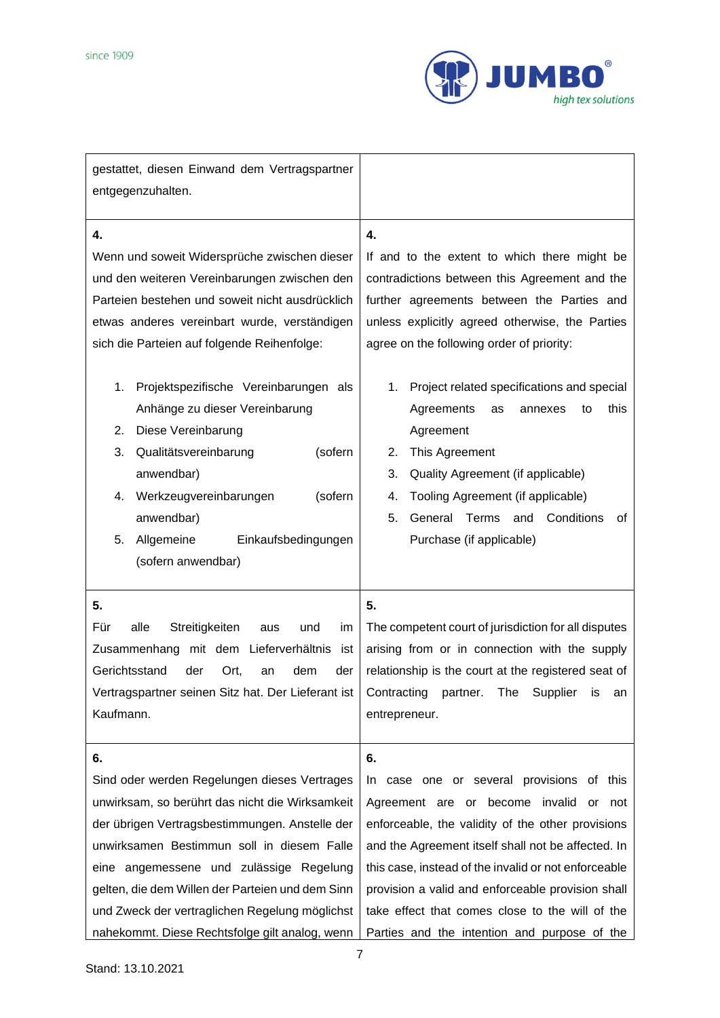

| gestattet, diesen Einwand dem Vertragspartner<br>entgegenzuhalten.                                                                                                                                                                                                                                                                                                                                       |                                                                                                                                                                                                                                                                                                                                                                                                                            |
|----------------------------------------------------------------------------------------------------------------------------------------------------------------------------------------------------------------------------------------------------------------------------------------------------------------------------------------------------------------------------------------------------------|----------------------------------------------------------------------------------------------------------------------------------------------------------------------------------------------------------------------------------------------------------------------------------------------------------------------------------------------------------------------------------------------------------------------------|
| 4.<br>Wenn und soweit Widersprüche zwischen dieser<br>und den weiteren Vereinbarungen zwischen den<br>Parteien bestehen und soweit nicht ausdrücklich<br>etwas anderes vereinbart wurde, verständigen<br>sich die Parteien auf folgende Reihenfolge:                                                                                                                                                     | 4.<br>If and to the extent to which there might be<br>contradictions between this Agreement and the<br>further agreements between the Parties and<br>unless explicitly agreed otherwise, the Parties<br>agree on the following order of priority:                                                                                                                                                                          |
| Projektspezifische Vereinbarungen als<br>1.<br>Anhänge zu dieser Vereinbarung<br>Diese Vereinbarung<br>2.<br>3.<br>Qualitätsvereinbarung<br>(sofern<br>anwendbar)<br>Werkzeugvereinbarungen<br>(sofern<br>4.<br>anwendbar)<br>5.<br>Allgemeine<br>Einkaufsbedingungen<br>(sofern anwendbar)                                                                                                              | Project related specifications and special<br>1.<br>Agreements<br>this<br>as<br>annexes<br>to<br>Agreement<br>This Agreement<br>2.<br>Quality Agreement (if applicable)<br>3.<br>Tooling Agreement (if applicable)<br>4.<br>5.<br>General Terms<br>and Conditions<br>0f<br>Purchase (if applicable)                                                                                                                        |
| 5.<br>Für<br>alle<br>Streitigkeiten<br>aus<br>und<br>im<br>Zusammenhang mit dem Lieferverhältnis<br>ist<br>Gerichtsstand<br>der<br>Ort,<br>dem<br>der<br>an<br>Vertragspartner seinen Sitz hat. Der Lieferant ist<br>Kaufmann.                                                                                                                                                                           | 5.<br>The competent court of jurisdiction for all disputes<br>arising from or in connection with the supply<br>relationship is the court at the registered seat of<br>Contracting<br>Supplier<br>The<br>partner.<br>İS<br>an<br>entrepreneur.                                                                                                                                                                              |
| 6.<br>Sind oder werden Regelungen dieses Vertrages<br>unwirksam, so berührt das nicht die Wirksamkeit<br>der übrigen Vertragsbestimmungen. Anstelle der<br>unwirksamen Bestimmun soll in diesem Falle<br>eine angemessene und zulässige Regelung<br>gelten, die dem Willen der Parteien und dem Sinn<br>und Zweck der vertraglichen Regelung möglichst<br>nahekommt. Diese Rechtsfolge gilt analog, wenn | 6.<br>case one or several provisions of this<br>In<br>Agreement are or become invalid or<br>not<br>enforceable, the validity of the other provisions<br>and the Agreement itself shall not be affected. In<br>this case, instead of the invalid or not enforceable<br>provision a valid and enforceable provision shall<br>take effect that comes close to the will of the<br>Parties and the intention and purpose of the |